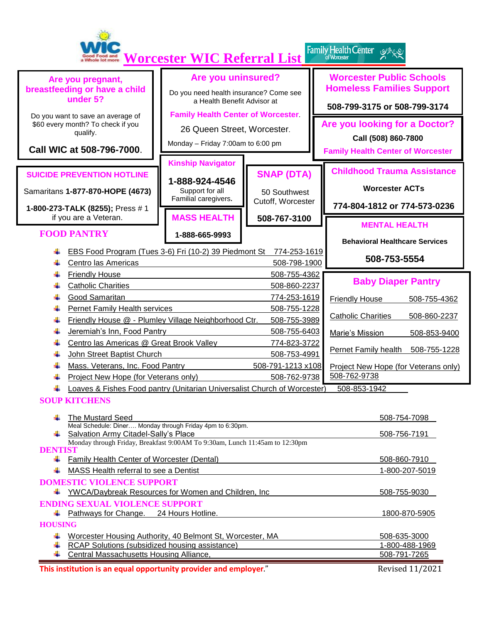| Family Health Center 2<br>Good Food and<br>a Whole lot more<br><b>Worcester WIC Referral List</b>                     |                                                                                                                                                                                                  |                                                                                                              |                                                                        |                                                                                                     |  |  |  |
|-----------------------------------------------------------------------------------------------------------------------|--------------------------------------------------------------------------------------------------------------------------------------------------------------------------------------------------|--------------------------------------------------------------------------------------------------------------|------------------------------------------------------------------------|-----------------------------------------------------------------------------------------------------|--|--|--|
| Are you pregnant,<br>breastfeeding or have a child<br>under 5?                                                        |                                                                                                                                                                                                  | Are you uninsured?<br>Do you need health insurance? Come see<br>a Health Benefit Advisor at                  |                                                                        | <b>Worcester Public Schools</b><br><b>Homeless Families Support</b><br>508-799-3175 or 508-799-3174 |  |  |  |
| Do you want to save an average of<br>\$60 every month? To check if you<br>qualify.<br>Call WIC at 508-796-7000.       |                                                                                                                                                                                                  | <b>Family Health Center of Worcester</b><br>26 Queen Street, Worcester.<br>Monday - Friday 7:00am to 6:00 pm |                                                                        | Are you looking for a Doctor?<br>Call (508) 860-7800<br><b>Family Health Center of Worcester</b>    |  |  |  |
|                                                                                                                       | <b>SUICIDE PREVENTION HOTLINE</b><br>Samaritans 1-877-870-HOPE (4673)<br>1-800-273-TALK (8255); Press #1<br>if you are a Veteran.                                                                | <b>Kinship Navigator</b><br>1-888-924-4546<br>Support for all<br>Familial caregivers.<br><b>MASS HEALTH</b>  | <b>SNAP (DTA)</b><br>50 Southwest<br>Cutoff, Worcester<br>508-767-3100 | <b>Childhood Trauma Assistance</b><br><b>Worcester ACTs</b><br>774-804-1812 or 774-573-0236         |  |  |  |
|                                                                                                                       | <b>FOOD PANTRY</b><br>EBS Food Program (Tues 3-6) Fri (10-2) 39 Piedmont St                                                                                                                      | 1-888-665-9993                                                                                               | 774-253-1619                                                           | <b>MENTAL HEALTH</b><br><b>Behavioral Healthcare Services</b>                                       |  |  |  |
|                                                                                                                       | Centro las Americas                                                                                                                                                                              |                                                                                                              | 508-798-1900                                                           | 508-753-5554                                                                                        |  |  |  |
|                                                                                                                       | <b>Friendly House</b><br><b>Catholic Charities</b>                                                                                                                                               |                                                                                                              | 508-755-4362<br>508-860-2237                                           | <b>Baby Diaper Pantry</b>                                                                           |  |  |  |
|                                                                                                                       | Good Samaritan                                                                                                                                                                                   |                                                                                                              | 774-253-1619                                                           | <b>Friendly House</b><br>508-755-4362                                                               |  |  |  |
| Pernet Family Health services<br>508-755-1228<br>Friendly House @ - Plumley Village Neighborhood Ctr.<br>508-755-3989 |                                                                                                                                                                                                  |                                                                                                              |                                                                        | <b>Catholic Charities</b><br>508-860-2237                                                           |  |  |  |
|                                                                                                                       | Jeremiah's Inn, Food Pantry                                                                                                                                                                      | 508-755-6403<br>Marie's Mission<br>508-853-9400                                                              |                                                                        |                                                                                                     |  |  |  |
|                                                                                                                       | Centro las Americas @ Great Brook Valley                                                                                                                                                         | 774-823-3722                                                                                                 |                                                                        |                                                                                                     |  |  |  |
|                                                                                                                       | John Street Baptist Church<br>508-753-4991                                                                                                                                                       |                                                                                                              |                                                                        | <b>Pernet Family health</b><br>508-755-1228                                                         |  |  |  |
|                                                                                                                       | Mass. Veterans, Inc. Food Pantry                                                                                                                                                                 | 508-791-1213 x108<br>Project New Hope (for Veterans only)<br>508-762-9738<br>508-762-9738                    |                                                                        |                                                                                                     |  |  |  |
|                                                                                                                       | Project New Hope (for Veterans only)<br>Loaves & Fishes Food pantry (Unitarian Universalist Church of Worcester)<br>508-853-1942                                                                 |                                                                                                              |                                                                        |                                                                                                     |  |  |  |
| <b>SOUP KITCHENS</b>                                                                                                  |                                                                                                                                                                                                  |                                                                                                              |                                                                        |                                                                                                     |  |  |  |
|                                                                                                                       | The Mustard Seed                                                                                                                                                                                 | 508-754-7098                                                                                                 |                                                                        |                                                                                                     |  |  |  |
|                                                                                                                       | Meal Schedule: Diner Monday through Friday 4pm to 6:30pm.<br>Salvation Army Citadel-Sally's Place<br>508-756-7191<br>Monday through Friday, Breakfast 9:00AM To 9:30am, Lunch 11:45am to 12:30pm |                                                                                                              |                                                                        |                                                                                                     |  |  |  |
| <b>DENTIST</b><br>Family Health Center of Worcester (Dental)                                                          |                                                                                                                                                                                                  |                                                                                                              |                                                                        |                                                                                                     |  |  |  |
| MASS Health referral to see a Dentist                                                                                 |                                                                                                                                                                                                  |                                                                                                              |                                                                        | 508-860-7910<br>1-800-207-5019                                                                      |  |  |  |
| <b>DOMESTIC VIOLENCE SUPPORT</b>                                                                                      |                                                                                                                                                                                                  |                                                                                                              |                                                                        |                                                                                                     |  |  |  |
| ↓ YWCA/Daybreak Resources for Women and Children, Inc                                                                 |                                                                                                                                                                                                  |                                                                                                              | 508-755-9030                                                           |                                                                                                     |  |  |  |
| <b>ENDING SEXUAL VIOLENCE SUPPORT</b><br>Pathways for Change. 24 Hours Hotline.                                       |                                                                                                                                                                                                  |                                                                                                              |                                                                        | 1800-870-5905                                                                                       |  |  |  |
|                                                                                                                       | <b>HOUSING</b>                                                                                                                                                                                   |                                                                                                              |                                                                        |                                                                                                     |  |  |  |
|                                                                                                                       |                                                                                                                                                                                                  |                                                                                                              |                                                                        |                                                                                                     |  |  |  |
|                                                                                                                       | Worcester Housing Authority, 40 Belmont St, Worcester, MA                                                                                                                                        |                                                                                                              |                                                                        | 508-635-3000                                                                                        |  |  |  |
|                                                                                                                       | <b>RCAP Solutions (subsidized housing assistance)</b><br>↓ Central Massachusetts Housing Alliance,                                                                                               |                                                                                                              |                                                                        | 1-800-488-1969<br>508-791-7265                                                                      |  |  |  |